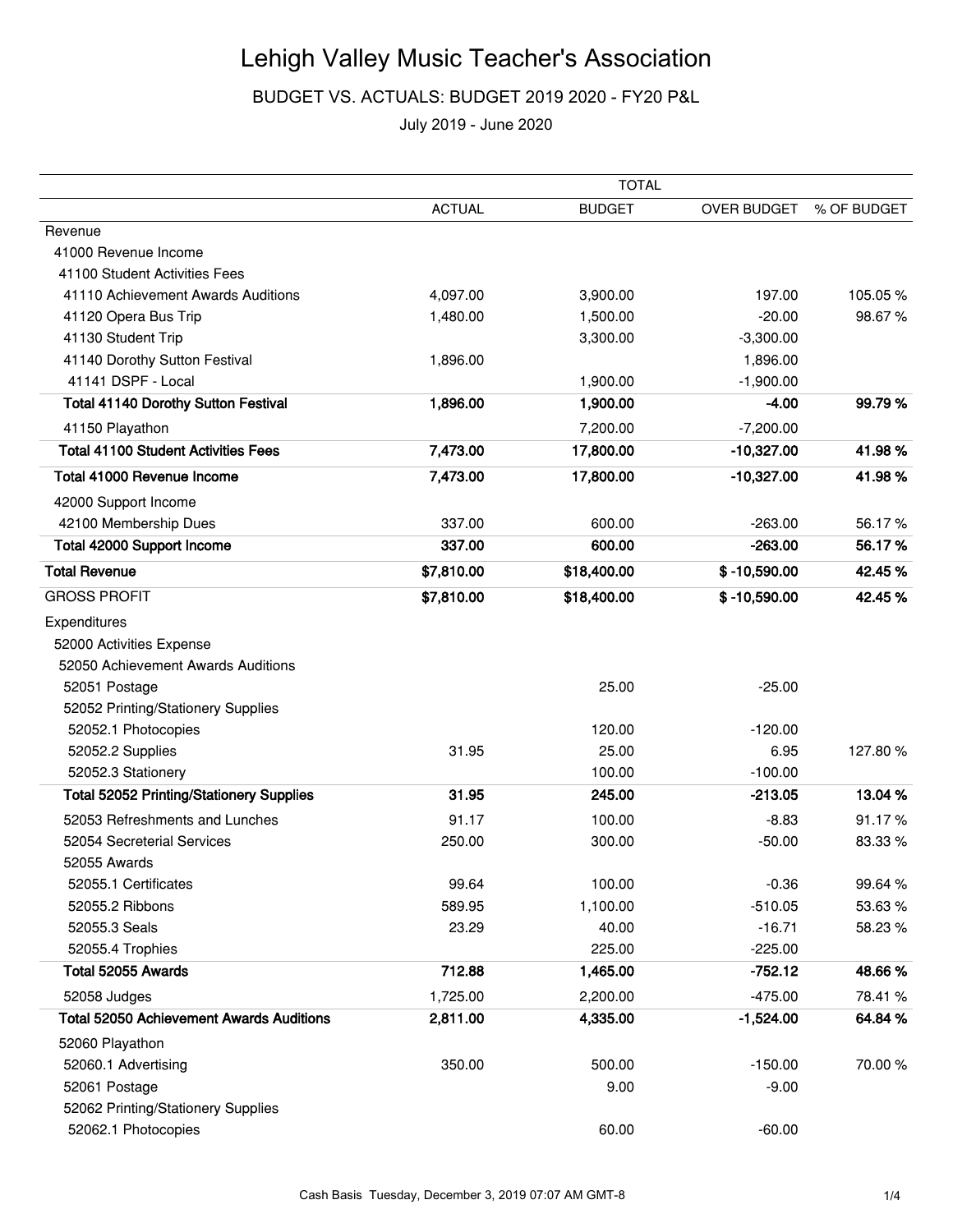## Lehigh Valley Music Teacher's Association

BUDGET VS. ACTUALS: BUDGET 2019 2020 - FY20 P&L

July 2019 - June 2020

|                                                 | <b>TOTAL</b>  |               |                |             |
|-------------------------------------------------|---------------|---------------|----------------|-------------|
|                                                 | <b>ACTUAL</b> | <b>BUDGET</b> | OVER BUDGET    | % OF BUDGET |
| Revenue                                         |               |               |                |             |
| 41000 Revenue Income                            |               |               |                |             |
| 41100 Student Activities Fees                   |               |               |                |             |
| 41110 Achievement Awards Auditions              | 4,097.00      | 3,900.00      | 197.00         | 105.05%     |
| 41120 Opera Bus Trip                            | 1,480.00      | 1,500.00      | $-20.00$       | 98.67%      |
| 41130 Student Trip                              |               | 3,300.00      | $-3,300.00$    |             |
| 41140 Dorothy Sutton Festival                   | 1,896.00      |               | 1,896.00       |             |
| 41141 DSPF - Local                              |               | 1,900.00      | $-1,900.00$    |             |
| <b>Total 41140 Dorothy Sutton Festival</b>      | 1,896.00      | 1,900.00      | $-4.00$        | 99.79%      |
| 41150 Playathon                                 |               | 7,200.00      | $-7,200.00$    |             |
| <b>Total 41100 Student Activities Fees</b>      | 7,473.00      | 17,800.00     | $-10,327.00$   | 41.98%      |
| Total 41000 Revenue Income                      | 7,473.00      | 17,800.00     | $-10,327.00$   | 41.98%      |
| 42000 Support Income                            |               |               |                |             |
| 42100 Membership Dues                           | 337.00        | 600.00        | $-263.00$      | 56.17%      |
| <b>Total 42000 Support Income</b>               | 337.00        | 600.00        | $-263.00$      | 56.17%      |
| <b>Total Revenue</b>                            | \$7,810.00    | \$18,400.00   | $$ -10,590.00$ | 42.45%      |
| <b>GROSS PROFIT</b>                             | \$7,810.00    | \$18,400.00   | $$ -10,590.00$ | 42.45%      |
| Expenditures                                    |               |               |                |             |
| 52000 Activities Expense                        |               |               |                |             |
| 52050 Achievement Awards Auditions              |               |               |                |             |
| 52051 Postage                                   |               | 25.00         | $-25.00$       |             |
| 52052 Printing/Stationery Supplies              |               |               |                |             |
| 52052.1 Photocopies                             |               | 120.00        | $-120.00$      |             |
| 52052.2 Supplies                                | 31.95         | 25.00         | 6.95           | 127.80%     |
| 52052.3 Stationery                              |               | 100.00        | $-100.00$      |             |
| <b>Total 52052 Printing/Stationery Supplies</b> | 31.95         | 245.00        | $-213.05$      | 13.04 %     |
| 52053 Refreshments and Lunches                  | 91.17         | 100.00        | $-8.83$        | 91.17%      |
| 52054 Secreterial Services                      | 250.00        | 300.00        | $-50.00$       | 83.33%      |
| 52055 Awards                                    |               |               |                |             |
| 52055.1 Certificates                            | 99.64         | 100.00        | $-0.36$        | 99.64%      |
| 52055.2 Ribbons                                 | 589.95        | 1,100.00      | $-510.05$      | 53.63%      |
| 52055.3 Seals                                   | 23.29         | 40.00         | $-16.71$       | 58.23%      |
| 52055.4 Trophies                                |               | 225.00        | $-225.00$      |             |
| Total 52055 Awards                              | 712.88        | 1,465.00      | $-752.12$      | 48.66%      |
| 52058 Judges                                    | 1,725.00      | 2,200.00      | $-475.00$      | 78.41 %     |
| <b>Total 52050 Achievement Awards Auditions</b> | 2,811.00      | 4,335.00      | $-1,524.00$    | 64.84%      |
| 52060 Playathon                                 |               |               |                |             |
| 52060.1 Advertising                             | 350.00        | 500.00        | $-150.00$      | 70.00%      |
| 52061 Postage                                   |               | 9.00          | $-9.00$        |             |
| 52062 Printing/Stationery Supplies              |               |               |                |             |
| 52062.1 Photocopies                             |               | 60.00         | $-60.00$       |             |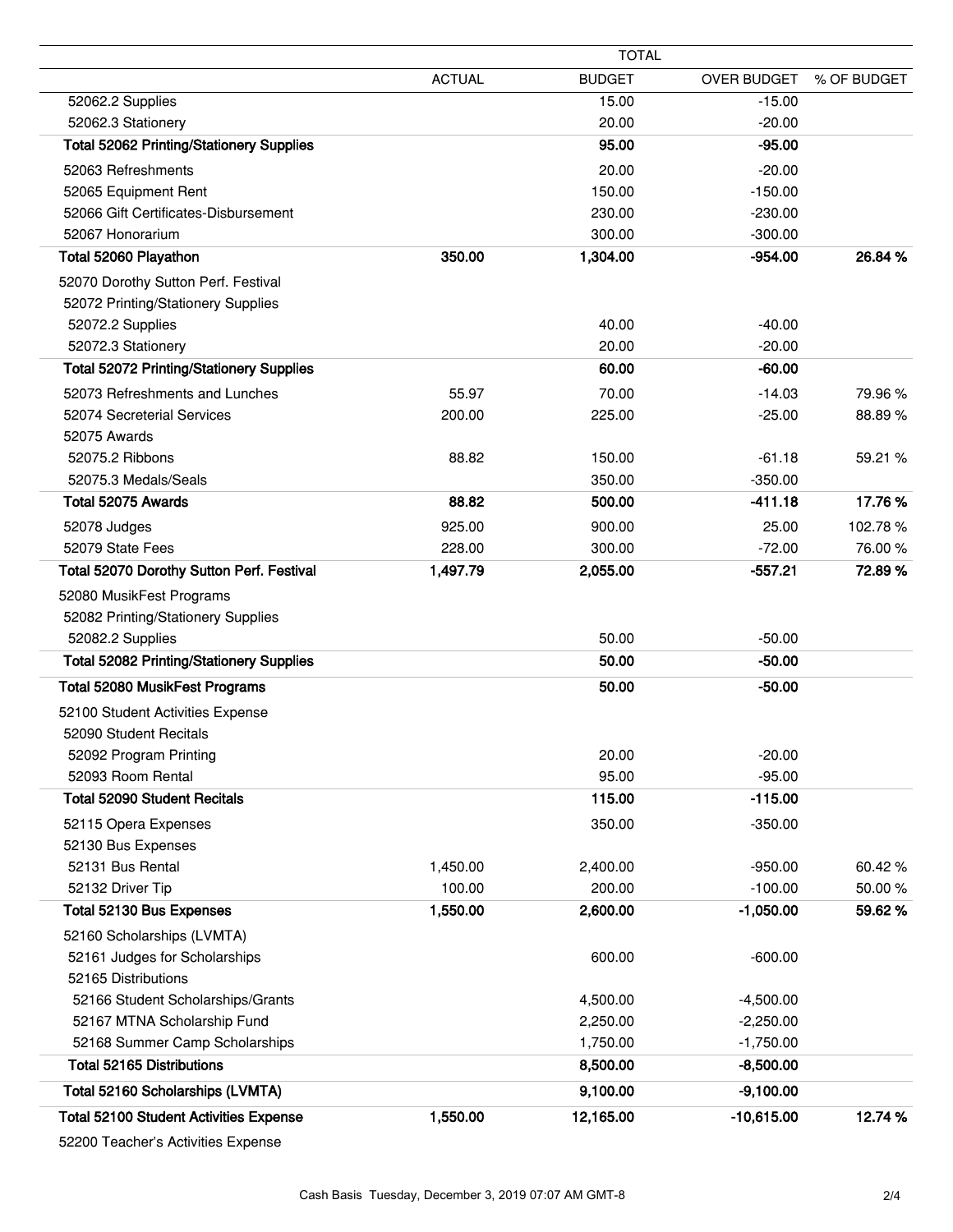|                                                 |               | <b>TOTAL</b>  |              |             |
|-------------------------------------------------|---------------|---------------|--------------|-------------|
|                                                 | <b>ACTUAL</b> | <b>BUDGET</b> | OVER BUDGET  | % OF BUDGET |
| 52062.2 Supplies                                |               | 15.00         | $-15.00$     |             |
| 52062.3 Stationery                              |               | 20.00         | $-20.00$     |             |
| <b>Total 52062 Printing/Stationery Supplies</b> |               | 95.00         | $-95.00$     |             |
| 52063 Refreshments                              |               | 20.00         | $-20.00$     |             |
| 52065 Equipment Rent                            |               | 150.00        | $-150.00$    |             |
| 52066 Gift Certificates-Disbursement            |               | 230.00        | $-230.00$    |             |
| 52067 Honorarium                                |               | 300.00        | $-300.00$    |             |
| Total 52060 Playathon                           | 350.00        | 1,304.00      | $-954.00$    | 26.84 %     |
| 52070 Dorothy Sutton Perf. Festival             |               |               |              |             |
| 52072 Printing/Stationery Supplies              |               |               |              |             |
| 52072.2 Supplies                                |               | 40.00         | $-40.00$     |             |
| 52072.3 Stationery                              |               | 20.00         | $-20.00$     |             |
| <b>Total 52072 Printing/Stationery Supplies</b> |               | 60.00         | $-60.00$     |             |
| 52073 Refreshments and Lunches                  | 55.97         | 70.00         | $-14.03$     | 79.96%      |
| 52074 Secreterial Services                      | 200.00        | 225.00        | $-25.00$     | 88.89%      |
| 52075 Awards                                    |               |               |              |             |
| 52075.2 Ribbons                                 | 88.82         | 150.00        | $-61.18$     | 59.21 %     |
| 52075.3 Medals/Seals                            |               | 350.00        | $-350.00$    |             |
| Total 52075 Awards                              | 88.82         | 500.00        | $-411.18$    | 17.76%      |
| 52078 Judges                                    | 925.00        | 900.00        | 25.00        | 102.78%     |
| 52079 State Fees                                | 228.00        | 300.00        | $-72.00$     | 76.00 %     |
| Total 52070 Dorothy Sutton Perf. Festival       | 1,497.79      | 2,055.00      | $-557.21$    | 72.89%      |
| 52080 MusikFest Programs                        |               |               |              |             |
| 52082 Printing/Stationery Supplies              |               |               |              |             |
| 52082.2 Supplies                                |               | 50.00         | $-50.00$     |             |
| <b>Total 52082 Printing/Stationery Supplies</b> |               | 50.00         | $-50.00$     |             |
| Total 52080 MusikFest Programs                  |               | 50.00         | $-50.00$     |             |
| 52100 Student Activities Expense                |               |               |              |             |
| 52090 Student Recitals                          |               |               |              |             |
| 52092 Program Printing                          |               | 20.00         | $-20.00$     |             |
| 52093 Room Rental                               |               | 95.00         | $-95.00$     |             |
| <b>Total 52090 Student Recitals</b>             |               | 115.00        | $-115.00$    |             |
| 52115 Opera Expenses                            |               | 350.00        | $-350.00$    |             |
| 52130 Bus Expenses                              |               |               |              |             |
| 52131 Bus Rental                                | 1,450.00      | 2,400.00      | $-950.00$    | 60.42%      |
| 52132 Driver Tip                                | 100.00        | 200.00        | $-100.00$    | 50.00%      |
| Total 52130 Bus Expenses                        | 1,550.00      | 2,600.00      | $-1,050.00$  | 59.62%      |
| 52160 Scholarships (LVMTA)                      |               |               |              |             |
| 52161 Judges for Scholarships                   |               | 600.00        | $-600.00$    |             |
| 52165 Distributions                             |               |               |              |             |
| 52166 Student Scholarships/Grants               |               | 4,500.00      | $-4,500.00$  |             |
| 52167 MTNA Scholarship Fund                     |               | 2,250.00      | $-2,250.00$  |             |
| 52168 Summer Camp Scholarships                  |               | 1,750.00      | $-1,750.00$  |             |
| <b>Total 52165 Distributions</b>                |               | 8,500.00      | $-8,500.00$  |             |
| Total 52160 Scholarships (LVMTA)                |               | 9,100.00      | $-9,100.00$  |             |
| <b>Total 52100 Student Activities Expense</b>   | 1,550.00      | 12,165.00     | $-10,615.00$ | 12.74 %     |
|                                                 |               |               |              |             |

52200 Teacher's Activities Expense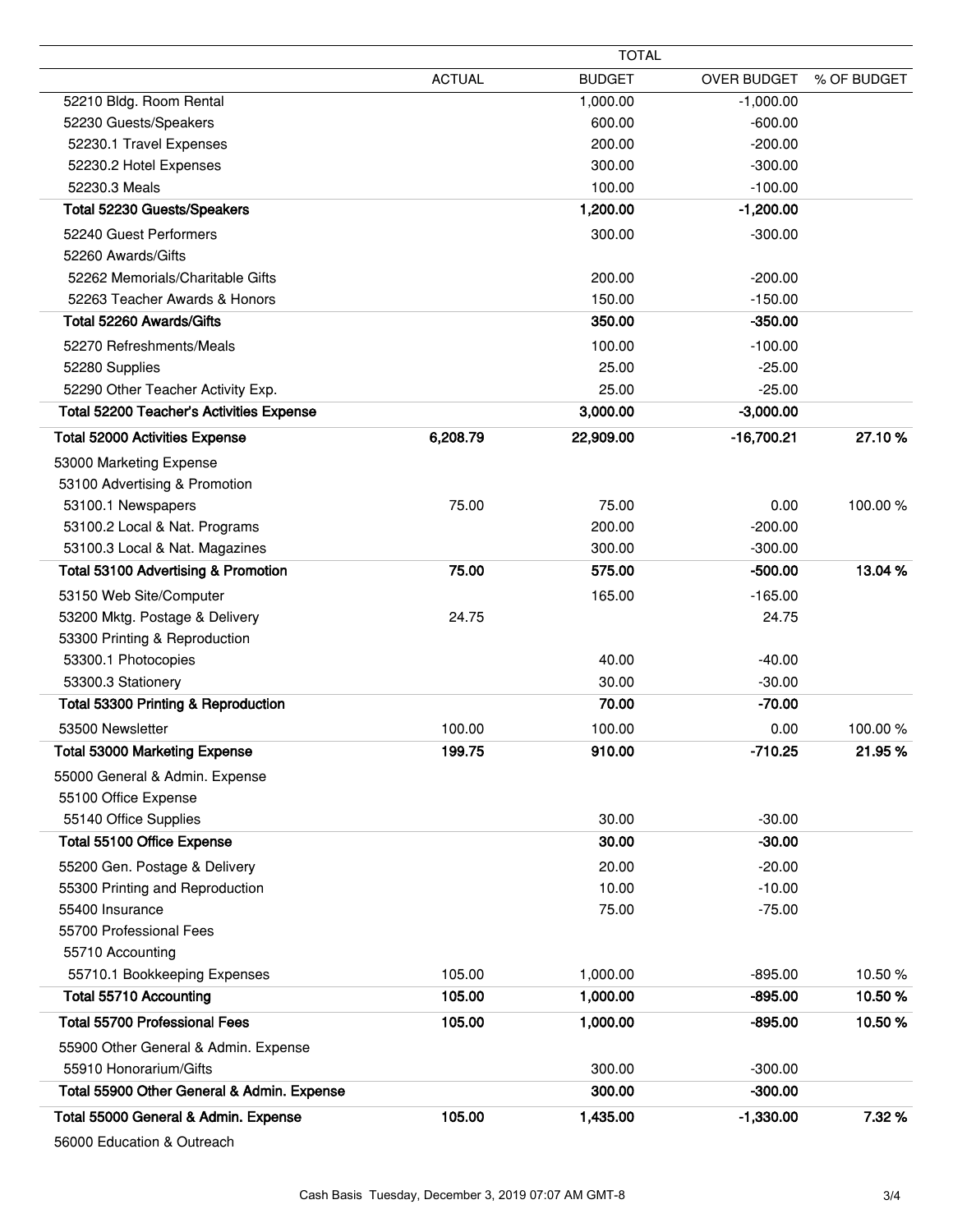|                                                 | <b>TOTAL</b>  |               |                    |             |
|-------------------------------------------------|---------------|---------------|--------------------|-------------|
|                                                 | <b>ACTUAL</b> | <b>BUDGET</b> | <b>OVER BUDGET</b> | % OF BUDGET |
| 52210 Bldg. Room Rental                         |               | 1,000.00      | $-1,000.00$        |             |
| 52230 Guests/Speakers                           |               | 600.00        | $-600.00$          |             |
| 52230.1 Travel Expenses                         |               | 200.00        | $-200.00$          |             |
| 52230.2 Hotel Expenses                          |               | 300.00        | $-300.00$          |             |
| 52230.3 Meals                                   |               | 100.00        | $-100.00$          |             |
| Total 52230 Guests/Speakers                     |               | 1,200.00      | $-1,200.00$        |             |
| 52240 Guest Performers                          |               | 300.00        | $-300.00$          |             |
| 52260 Awards/Gifts                              |               |               |                    |             |
| 52262 Memorials/Charitable Gifts                |               | 200.00        | $-200.00$          |             |
| 52263 Teacher Awards & Honors                   |               | 150.00        | $-150.00$          |             |
| Total 52260 Awards/Gifts                        |               | 350.00        | $-350.00$          |             |
| 52270 Refreshments/Meals                        |               | 100.00        | $-100.00$          |             |
| 52280 Supplies                                  |               | 25.00         | $-25.00$           |             |
| 52290 Other Teacher Activity Exp.               |               | 25.00         | $-25.00$           |             |
| <b>Total 52200 Teacher's Activities Expense</b> |               | 3,000.00      | $-3,000.00$        |             |
| <b>Total 52000 Activities Expense</b>           | 6,208.79      | 22,909.00     | $-16,700.21$       | 27.10%      |
| 53000 Marketing Expense                         |               |               |                    |             |
| 53100 Advertising & Promotion                   |               |               |                    |             |
| 53100.1 Newspapers                              | 75.00         | 75.00         | 0.00               | 100.00%     |
| 53100.2 Local & Nat. Programs                   |               | 200.00        | $-200.00$          |             |
| 53100.3 Local & Nat. Magazines                  |               | 300.00        | $-300.00$          |             |
| Total 53100 Advertising & Promotion             | 75.00         | 575.00        | $-500.00$          | 13.04 %     |
| 53150 Web Site/Computer                         |               | 165.00        | $-165.00$          |             |
| 53200 Mktg. Postage & Delivery                  | 24.75         |               | 24.75              |             |
| 53300 Printing & Reproduction                   |               |               |                    |             |
| 53300.1 Photocopies                             |               | 40.00         | $-40.00$           |             |
| 53300.3 Stationery                              |               | 30.00         | $-30.00$           |             |
| Total 53300 Printing & Reproduction             |               | 70.00         | $-70.00$           |             |
| 53500 Newsletter                                | 100.00        | 100.00        | 0.00               | 100.00%     |
| Total 53000 Marketing Expense                   | 199.75        | 910.00        | $-710.25$          | 21.95 %     |
| 55000 General & Admin. Expense                  |               |               |                    |             |
| 55100 Office Expense                            |               |               |                    |             |
| 55140 Office Supplies                           |               | 30.00         | $-30.00$           |             |
| Total 55100 Office Expense                      |               | 30.00         | $-30.00$           |             |
| 55200 Gen. Postage & Delivery                   |               | 20.00         | $-20.00$           |             |
| 55300 Printing and Reproduction                 |               | 10.00         | $-10.00$           |             |
| 55400 Insurance                                 |               | 75.00         | $-75.00$           |             |
| 55700 Professional Fees                         |               |               |                    |             |
| 55710 Accounting                                |               |               |                    |             |
| 55710.1 Bookkeeping Expenses                    | 105.00        | 1,000.00      | $-895.00$          | 10.50%      |
| <b>Total 55710 Accounting</b>                   | 105.00        | 1,000.00      | $-895.00$          | 10.50%      |
| <b>Total 55700 Professional Fees</b>            | 105.00        | 1,000.00      | $-895.00$          | 10.50%      |
| 55900 Other General & Admin. Expense            |               |               |                    |             |
| 55910 Honorarium/Gifts                          |               | 300.00        | $-300.00$          |             |
| Total 55900 Other General & Admin. Expense      |               | 300.00        | $-300.00$          |             |
| Total 55000 General & Admin. Expense            | 105.00        | 1,435.00      | $-1,330.00$        | 7.32%       |

56000 Education & Outreach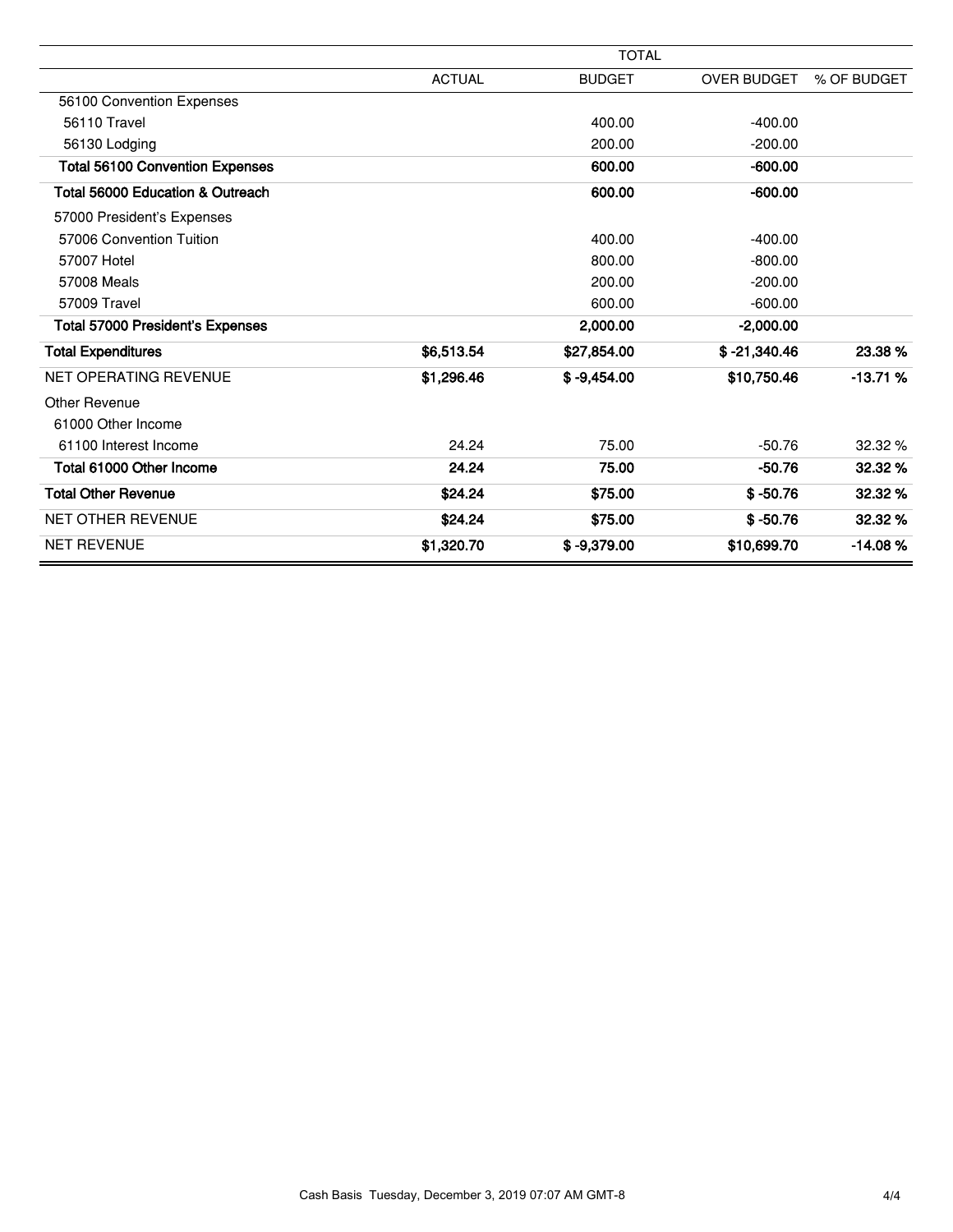|                                         |               | <b>TOTAL</b>  |                    |             |
|-----------------------------------------|---------------|---------------|--------------------|-------------|
|                                         | <b>ACTUAL</b> | <b>BUDGET</b> | <b>OVER BUDGET</b> | % OF BUDGET |
| 56100 Convention Expenses               |               |               |                    |             |
| 56110 Travel                            |               | 400.00        | $-400.00$          |             |
| 56130 Lodging                           |               | 200.00        | $-200.00$          |             |
| <b>Total 56100 Convention Expenses</b>  |               | 600.00        | $-600.00$          |             |
| Total 56000 Education & Outreach        |               | 600.00        | $-600.00$          |             |
| 57000 President's Expenses              |               |               |                    |             |
| 57006 Convention Tuition                |               | 400.00        | $-400.00$          |             |
| 57007 Hotel                             |               | 800.00        | $-800.00$          |             |
| 57008 Meals                             |               | 200.00        | $-200.00$          |             |
| 57009 Travel                            |               | 600.00        | $-600.00$          |             |
| <b>Total 57000 President's Expenses</b> |               | 2,000.00      | $-2,000.00$        |             |
| <b>Total Expenditures</b>               | \$6,513.54    | \$27,854.00   | $$ -21,340.46$     | 23.38 %     |
| NET OPERATING REVENUE                   | \$1,296.46    | $$ -9,454.00$ | \$10,750.46        | $-13.71%$   |
| <b>Other Revenue</b>                    |               |               |                    |             |
| 61000 Other Income                      |               |               |                    |             |
| 61100 Interest Income                   | 24.24         | 75.00         | $-50.76$           | 32.32 %     |
| Total 61000 Other Income                | 24.24         | 75.00         | $-50.76$           | 32.32 %     |
| <b>Total Other Revenue</b>              | \$24.24       | \$75.00       | $$ -50.76$         | 32.32%      |
| <b>NET OTHER REVENUE</b>                | \$24.24       | \$75.00       | $$ -50.76$         | 32.32 %     |
| <b>NET REVENUE</b>                      | \$1,320.70    | $$ -9.379.00$ | \$10,699.70        | $-14.08%$   |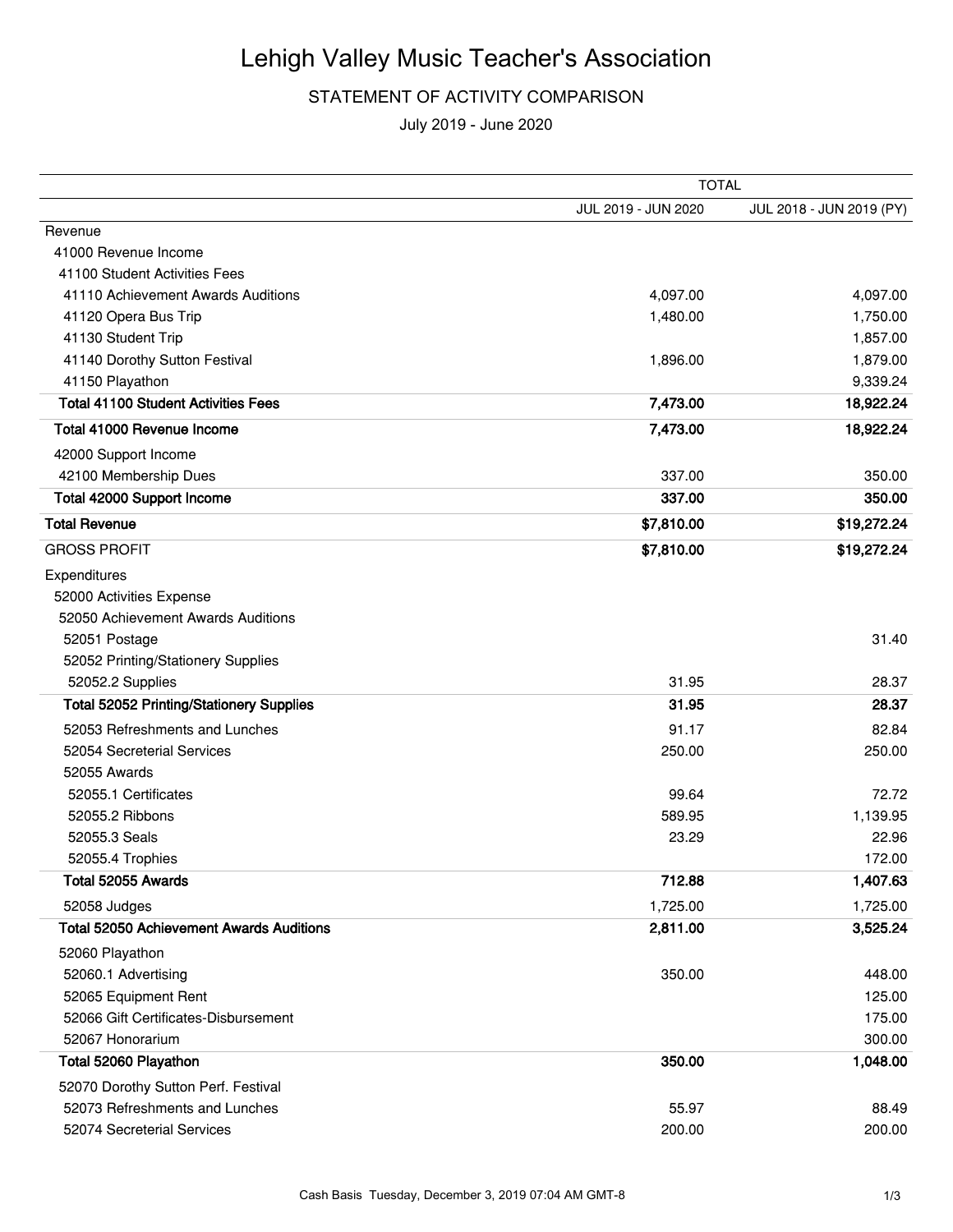## Lehigh Valley Music Teacher's Association

## STATEMENT OF ACTIVITY COMPARISON

July 2019 - June 2020

|                                                 | <b>TOTAL</b>        |                          |  |
|-------------------------------------------------|---------------------|--------------------------|--|
|                                                 | JUL 2019 - JUN 2020 | JUL 2018 - JUN 2019 (PY) |  |
| Revenue                                         |                     |                          |  |
| 41000 Revenue Income                            |                     |                          |  |
| 41100 Student Activities Fees                   |                     |                          |  |
| 41110 Achievement Awards Auditions              | 4,097.00            | 4,097.00                 |  |
| 41120 Opera Bus Trip                            | 1,480.00            | 1,750.00                 |  |
| 41130 Student Trip                              |                     | 1,857.00                 |  |
| 41140 Dorothy Sutton Festival                   | 1,896.00            | 1,879.00                 |  |
| 41150 Playathon                                 |                     | 9,339.24                 |  |
| <b>Total 41100 Student Activities Fees</b>      | 7,473.00            | 18,922.24                |  |
| Total 41000 Revenue Income                      | 7,473.00            | 18,922.24                |  |
| 42000 Support Income                            |                     |                          |  |
| 42100 Membership Dues                           | 337.00              | 350.00                   |  |
| Total 42000 Support Income                      | 337.00              | 350.00                   |  |
| <b>Total Revenue</b>                            | \$7,810.00          | \$19,272.24              |  |
| <b>GROSS PROFIT</b>                             | \$7,810.00          | \$19,272.24              |  |
| Expenditures                                    |                     |                          |  |
| 52000 Activities Expense                        |                     |                          |  |
| 52050 Achievement Awards Auditions              |                     |                          |  |
| 52051 Postage                                   |                     | 31.40                    |  |
| 52052 Printing/Stationery Supplies              |                     |                          |  |
| 52052.2 Supplies                                | 31.95               | 28.37                    |  |
| <b>Total 52052 Printing/Stationery Supplies</b> | 31.95               | 28.37                    |  |
| 52053 Refreshments and Lunches                  | 91.17               | 82.84                    |  |
| 52054 Secreterial Services                      | 250.00              | 250.00                   |  |
| 52055 Awards                                    |                     |                          |  |
| 52055.1 Certificates                            | 99.64               | 72.72                    |  |
| 52055.2 Ribbons                                 | 589.95              | 1,139.95                 |  |
| 52055.3 Seals                                   | 23.29               | 22.96                    |  |
| 52055.4 Trophies                                |                     | 172.00                   |  |
| Total 52055 Awards                              | 712.88              | 1,407.63                 |  |
| 52058 Judges                                    | 1,725.00            | 1,725.00                 |  |
| <b>Total 52050 Achievement Awards Auditions</b> | 2,811.00            | 3,525.24                 |  |
| 52060 Playathon                                 |                     |                          |  |
| 52060.1 Advertising                             | 350.00              | 448.00                   |  |
| 52065 Equipment Rent                            |                     | 125.00                   |  |
| 52066 Gift Certificates-Disbursement            |                     | 175.00                   |  |
| 52067 Honorarium                                |                     | 300.00                   |  |
| Total 52060 Playathon                           | 350.00              | 1,048.00                 |  |
| 52070 Dorothy Sutton Perf. Festival             |                     |                          |  |
| 52073 Refreshments and Lunches                  | 55.97               | 88.49                    |  |
| 52074 Secreterial Services                      | 200.00              | 200.00                   |  |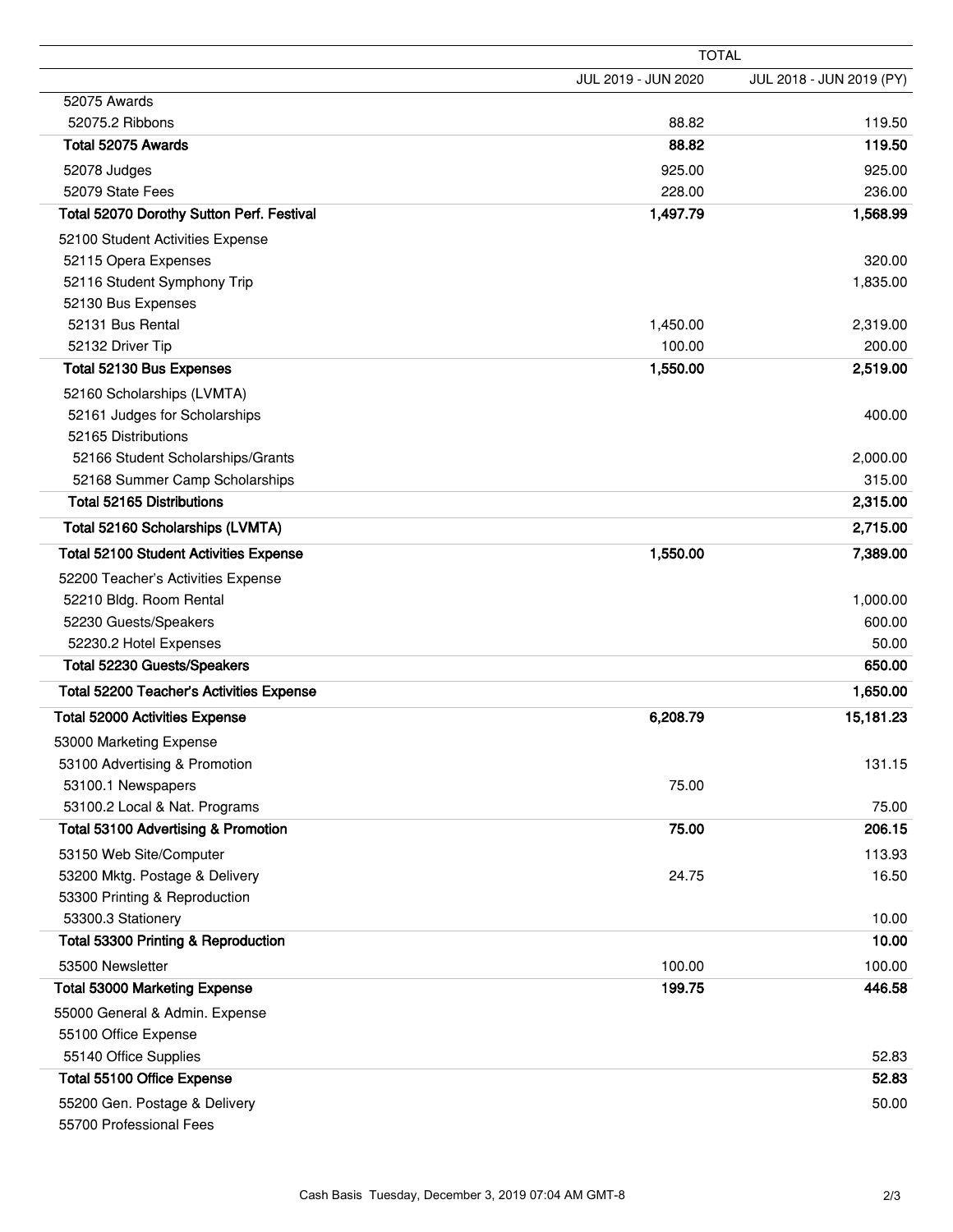|                                               | <b>TOTAL</b>        |                          |  |
|-----------------------------------------------|---------------------|--------------------------|--|
|                                               | JUL 2019 - JUN 2020 | JUL 2018 - JUN 2019 (PY) |  |
| 52075 Awards                                  |                     |                          |  |
| 52075.2 Ribbons                               | 88.82               | 119.50                   |  |
| Total 52075 Awards                            | 88.82               | 119.50                   |  |
| 52078 Judges                                  | 925.00              | 925.00                   |  |
| 52079 State Fees                              | 228.00              | 236.00                   |  |
| Total 52070 Dorothy Sutton Perf. Festival     | 1,497.79            | 1,568.99                 |  |
| 52100 Student Activities Expense              |                     |                          |  |
| 52115 Opera Expenses                          |                     | 320.00                   |  |
| 52116 Student Symphony Trip                   |                     | 1,835.00                 |  |
| 52130 Bus Expenses                            |                     |                          |  |
| 52131 Bus Rental                              | 1,450.00            | 2,319.00                 |  |
| 52132 Driver Tip                              | 100.00              | 200.00                   |  |
| Total 52130 Bus Expenses                      | 1,550.00            | 2,519.00                 |  |
| 52160 Scholarships (LVMTA)                    |                     |                          |  |
| 52161 Judges for Scholarships                 |                     | 400.00                   |  |
| 52165 Distributions                           |                     |                          |  |
| 52166 Student Scholarships/Grants             |                     | 2,000.00                 |  |
| 52168 Summer Camp Scholarships                |                     | 315.00                   |  |
| <b>Total 52165 Distributions</b>              |                     | 2,315.00                 |  |
| Total 52160 Scholarships (LVMTA)              |                     | 2,715.00                 |  |
| <b>Total 52100 Student Activities Expense</b> | 1,550.00            | 7,389.00                 |  |
| 52200 Teacher's Activities Expense            |                     |                          |  |
| 52210 Bldg. Room Rental                       |                     | 1,000.00                 |  |
| 52230 Guests/Speakers                         |                     | 600.00                   |  |
| 52230.2 Hotel Expenses                        |                     | 50.00                    |  |
| Total 52230 Guests/Speakers                   |                     | 650.00                   |  |
| Total 52200 Teacher's Activities Expense      |                     | 1,650.00                 |  |
| <b>Total 52000 Activities Expense</b>         | 6,208.79            | 15,181.23                |  |
| 53000 Marketing Expense                       |                     |                          |  |
| 53100 Advertising & Promotion                 |                     | 131.15                   |  |
| 53100.1 Newspapers                            | 75.00               |                          |  |
| 53100.2 Local & Nat. Programs                 |                     | 75.00                    |  |
| Total 53100 Advertising & Promotion           | 75.00               | 206.15                   |  |
| 53150 Web Site/Computer                       |                     | 113.93                   |  |
| 53200 Mktg. Postage & Delivery                | 24.75               | 16.50                    |  |
| 53300 Printing & Reproduction                 |                     |                          |  |
| 53300.3 Stationery                            |                     | 10.00                    |  |
| Total 53300 Printing & Reproduction           |                     | 10.00                    |  |
| 53500 Newsletter                              | 100.00              | 100.00                   |  |
| <b>Total 53000 Marketing Expense</b>          | 199.75              | 446.58                   |  |
| 55000 General & Admin. Expense                |                     |                          |  |
| 55100 Office Expense                          |                     |                          |  |
| 55140 Office Supplies                         |                     | 52.83                    |  |
| Total 55100 Office Expense                    |                     | 52.83                    |  |
| 55200 Gen. Postage & Delivery                 |                     | 50.00                    |  |
| 55700 Professional Fees                       |                     |                          |  |